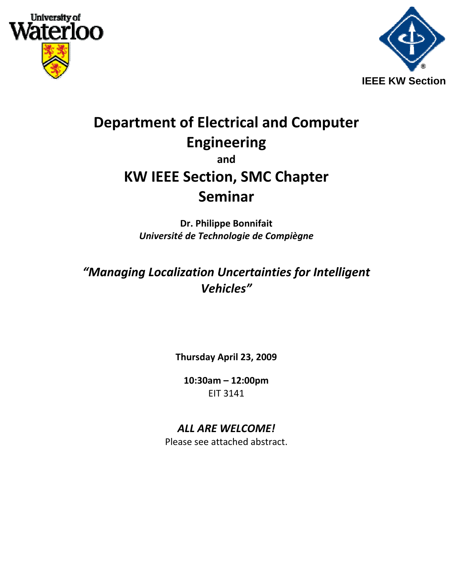



## **Department of Electrical and Computer Engineering and KW IEEE Section, SMC Chapter Seminar**

**Dr. Philippe Bonnifait** *Université de Technologie de Compiègne*

*"Managing Localization Uncertainties for Intelligent Vehicles"*

**Thursday April 23, 2009**

**10:30am – 12:00pm** EIT 3141

## *ALL ARE WELCOME!*

Please see attached abstract.